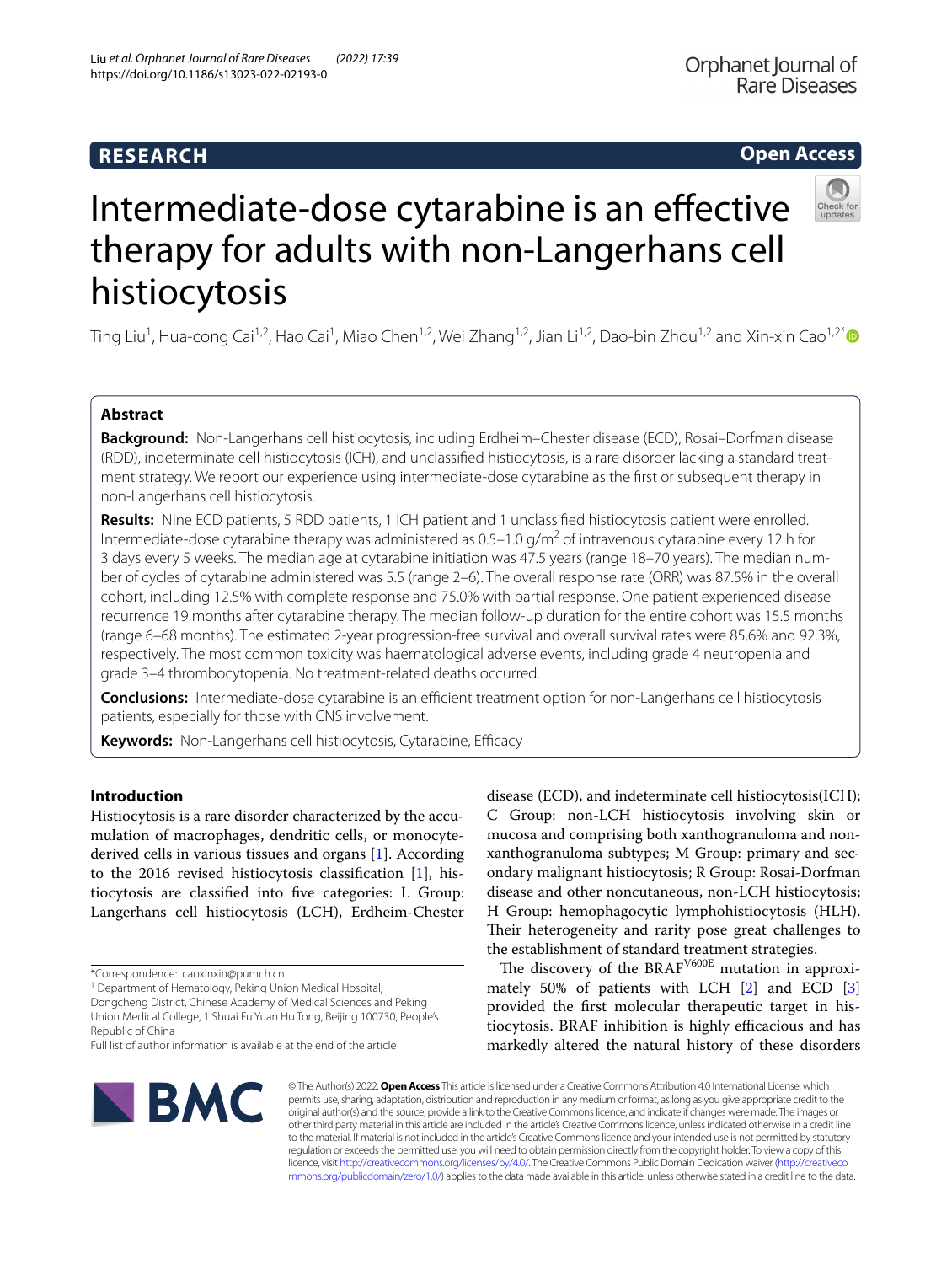# **RESEARCH**

# **Open Access**



# Intermediate-dose cytarabine is an effective therapy for adults with non-Langerhans cell histiocytosis

Ting Liu<sup>1</sup>, Hua-cong Cai<sup>1,2</sup>, Hao Cai<sup>1</sup>, Miao Chen<sup>1,2</sup>, Wei Zhang<sup>1,2</sup>, Jian Li<sup>1,2</sup>, Dao-bin Zhou<sup>1,2</sup> and Xin-xin Cao<sup>1,2[\\*](http://orcid.org/0000-0001-7884-3073)</sup>

## **Abstract**

**Background:** Non-Langerhans cell histiocytosis, including Erdheim–Chester disease (ECD), Rosai–Dorfman disease (RDD), indeterminate cell histiocytosis (ICH), and unclassifed histiocytosis, is a rare disorder lacking a standard treat‑ ment strategy. We report our experience using intermediate-dose cytarabine as the frst or subsequent therapy in non-Langerhans cell histiocytosis.

**Results:** Nine ECD patients, 5 RDD patients, 1 ICH patient and 1 unclassifed histiocytosis patient were enrolled. Intermediate-dose cytarabine therapy was administered as 0.5–1.0 g/m<sup>2</sup> of intravenous cytarabine every 12 h for 3 days every 5 weeks. The median age at cytarabine initiation was 47.5 years (range 18–70 years). The median num‑ ber of cycles of cytarabine administered was 5.5 (range 2–6). The overall response rate (ORR) was 87.5% in the overall cohort, including 12.5% with complete response and 75.0% with partial response. One patient experienced disease recurrence 19 months after cytarabine therapy. The median follow-up duration for the entire cohort was 15.5 months (range 6–68 months). The estimated 2-year progression-free survival and overall survival rates were 85.6% and 92.3%, respectively. The most common toxicity was haematological adverse events, including grade 4 neutropenia and grade 3–4 thrombocytopenia. No treatment-related deaths occurred.

**Conclusions:** Intermediate-dose cytarabine is an efficient treatment option for non-Langerhans cell histiocytosis patients, especially for those with CNS involvement.

Keywords: Non-Langerhans cell histiocytosis, Cytarabine, Efficacy

## **Introduction**

Histiocytosis is a rare disorder characterized by the accumulation of macrophages, dendritic cells, or monocytederived cells in various tissues and organs [[1\]](#page-6-0). According to the 2016 revised histiocytosis classifcation [\[1](#page-6-0)], histiocytosis are classifed into fve categories: L Group: Langerhans cell histiocytosis (LCH), Erdheim-Chester

Dongcheng District, Chinese Academy of Medical Sciences and Peking Union Medical College, 1 Shuai Fu Yuan Hu Tong, Beijing 100730, People's Republic of China

disease (ECD), and indeterminate cell histiocytosis(ICH); C Group: non-LCH histiocytosis involving skin or mucosa and comprising both xanthogranuloma and nonxanthogranuloma subtypes; M Group: primary and secondary malignant histiocytosis; R Group: Rosai-Dorfman disease and other noncutaneous, non-LCH histiocytosis; H Group: hemophagocytic lymphohistiocytosis (HLH). Their heterogeneity and rarity pose great challenges to the establishment of standard treatment strategies.

The discovery of the BRAF<sup>V600E</sup> mutation in approximately 50% of patients with LCH [\[2](#page-6-1)] and ECD [\[3](#page-6-2)] provided the frst molecular therapeutic target in histiocytosis. BRAF inhibition is highly efficacious and has markedly altered the natural history of these disorders



© The Author(s) 2022. **Open Access** This article is licensed under a Creative Commons Attribution 4.0 International License, which permits use, sharing, adaptation, distribution and reproduction in any medium or format, as long as you give appropriate credit to the original author(s) and the source, provide a link to the Creative Commons licence, and indicate if changes were made. The images or other third party material in this article are included in the article's Creative Commons licence, unless indicated otherwise in a credit line to the material. If material is not included in the article's Creative Commons licence and your intended use is not permitted by statutory regulation or exceeds the permitted use, you will need to obtain permission directly from the copyright holder. To view a copy of this licence, visit [http://creativecommons.org/licenses/by/4.0/.](http://creativecommons.org/licenses/by/4.0/) The Creative Commons Public Domain Dedication waiver ([http://creativeco](http://creativecommons.org/publicdomain/zero/1.0/) [mmons.org/publicdomain/zero/1.0/](http://creativecommons.org/publicdomain/zero/1.0/)) applies to the data made available in this article, unless otherwise stated in a credit line to the data.

<sup>\*</sup>Correspondence: caoxinxin@pumch.cn

<sup>&</sup>lt;sup>1</sup> Department of Hematology, Peking Union Medical Hospital,

Full list of author information is available at the end of the article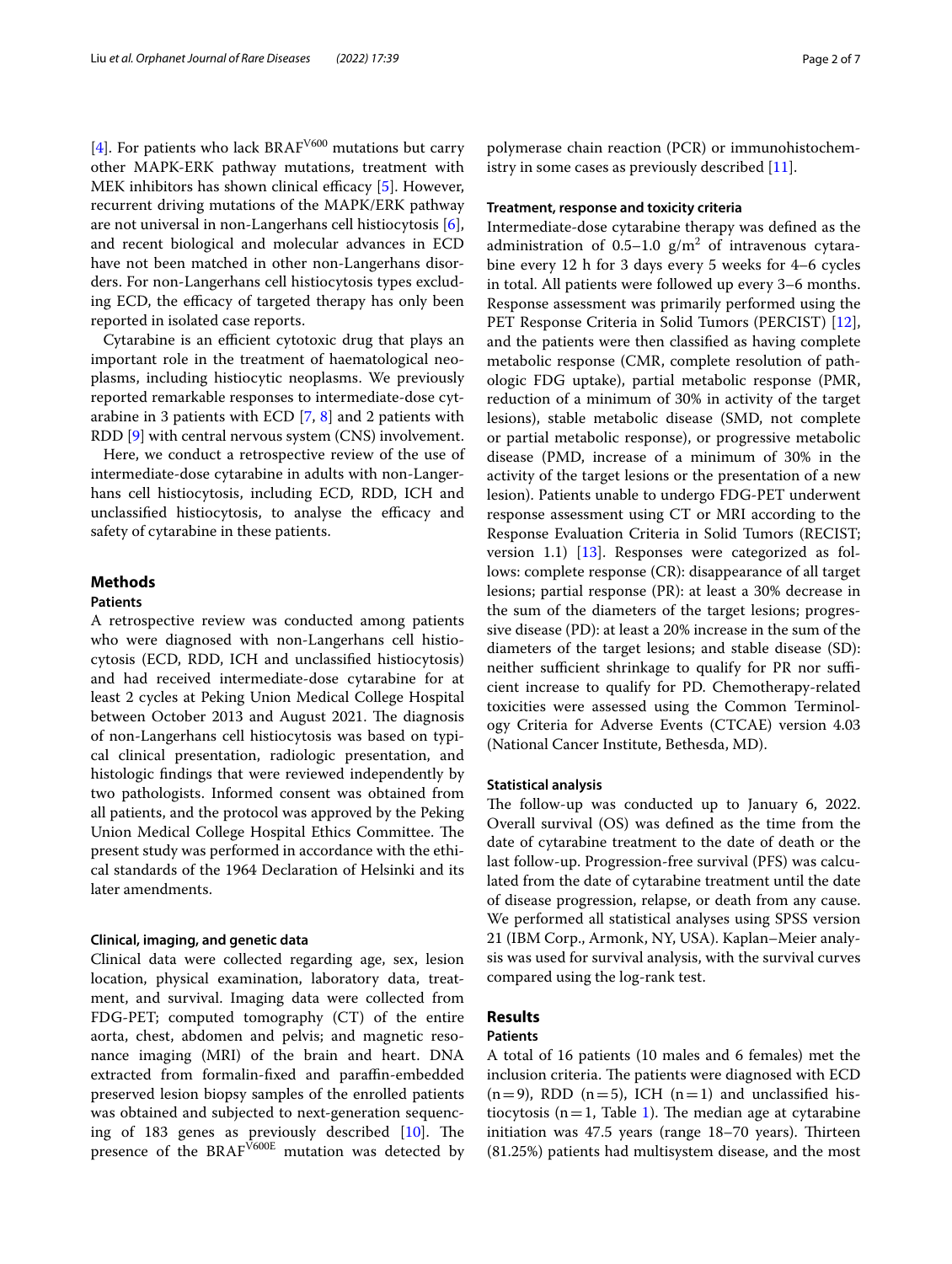[[4\]](#page-6-3). For patients who lack BRAF<sup>V600</sup> mutations but carry other MAPK-ERK pathway mutations, treatment with MEK inhibitors has shown clinical efficacy  $[5]$  $[5]$ . However, recurrent driving mutations of the MAPK/ERK pathway are not universal in non-Langerhans cell histiocytosis [\[6](#page-6-5)], and recent biological and molecular advances in ECD have not been matched in other non-Langerhans disorders. For non-Langerhans cell histiocytosis types excluding ECD, the efficacy of targeted therapy has only been reported in isolated case reports.

Cytarabine is an efficient cytotoxic drug that plays an important role in the treatment of haematological neoplasms, including histiocytic neoplasms. We previously reported remarkable responses to intermediate-dose cytarabine in 3 patients with ECD [\[7](#page-6-6), [8](#page-6-7)] and 2 patients with RDD [[9\]](#page-6-8) with central nervous system (CNS) involvement.

Here, we conduct a retrospective review of the use of intermediate-dose cytarabine in adults with non-Langerhans cell histiocytosis, including ECD, RDD, ICH and unclassified histiocytosis, to analyse the efficacy and safety of cytarabine in these patients.

## **Methods**

## **Patients**

A retrospective review was conducted among patients who were diagnosed with non-Langerhans cell histiocytosis (ECD, RDD, ICH and unclassifed histiocytosis) and had received intermediate-dose cytarabine for at least 2 cycles at Peking Union Medical College Hospital between October 2013 and August 2021. The diagnosis of non-Langerhans cell histiocytosis was based on typical clinical presentation, radiologic presentation, and histologic fndings that were reviewed independently by two pathologists. Informed consent was obtained from all patients, and the protocol was approved by the Peking Union Medical College Hospital Ethics Committee. The present study was performed in accordance with the ethical standards of the 1964 Declaration of Helsinki and its later amendments.

## **Clinical, imaging, and genetic data**

Clinical data were collected regarding age, sex, lesion location, physical examination, laboratory data, treatment, and survival. Imaging data were collected from FDG-PET; computed tomography (CT) of the entire aorta, chest, abdomen and pelvis; and magnetic resonance imaging (MRI) of the brain and heart. DNA extracted from formalin-fxed and parafn-embedded preserved lesion biopsy samples of the enrolled patients was obtained and subjected to next-generation sequencing of 183 genes as previously described  $[10]$  $[10]$  $[10]$ . The presence of the  $BRAF<sup>V600E</sup>$  mutation was detected by

polymerase chain reaction (PCR) or immunohistochemistry in some cases as previously described [[11\]](#page-6-10).

## **Treatment, response and toxicity criteria**

Intermediate-dose cytarabine therapy was defned as the administration of  $0.5-1.0$  g/m<sup>2</sup> of intravenous cytarabine every 12 h for 3 days every 5 weeks for 4–6 cycles in total. All patients were followed up every 3–6 months. Response assessment was primarily performed using the PET Response Criteria in Solid Tumors (PERCIST) [\[12](#page-6-11)], and the patients were then classifed as having complete metabolic response (CMR, complete resolution of pathologic FDG uptake), partial metabolic response (PMR, reduction of a minimum of 30% in activity of the target lesions), stable metabolic disease (SMD, not complete or partial metabolic response), or progressive metabolic disease (PMD, increase of a minimum of 30% in the activity of the target lesions or the presentation of a new lesion). Patients unable to undergo FDG-PET underwent response assessment using CT or MRI according to the Response Evaluation Criteria in Solid Tumors (RECIST; version 1.1) [[13\]](#page-6-12). Responses were categorized as follows: complete response (CR): disappearance of all target lesions; partial response (PR): at least a 30% decrease in the sum of the diameters of the target lesions; progressive disease (PD): at least a 20% increase in the sum of the diameters of the target lesions; and stable disease (SD): neither sufficient shrinkage to qualify for PR nor sufficient increase to qualify for PD. Chemotherapy-related toxicities were assessed using the Common Terminology Criteria for Adverse Events (CTCAE) version 4.03 (National Cancer Institute, Bethesda, MD).

#### **Statistical analysis**

The follow-up was conducted up to January 6, 2022. Overall survival (OS) was defned as the time from the date of cytarabine treatment to the date of death or the last follow-up. Progression-free survival (PFS) was calculated from the date of cytarabine treatment until the date of disease progression, relapse, or death from any cause. We performed all statistical analyses using SPSS version 21 (IBM Corp., Armonk, NY, USA). Kaplan–Meier analysis was used for survival analysis, with the survival curves compared using the log-rank test.

## **Results**

## **Patients**

A total of 16 patients (10 males and 6 females) met the inclusion criteria. The patients were diagnosed with ECD  $(n=9)$ , RDD  $(n=5)$ , ICH  $(n=1)$  and unclassified histiocytosis ( $n=1$ , Table [1\)](#page-2-0). The median age at cytarabine initiation was  $47.5$  years (range  $18-70$  years). Thirteen (81.25%) patients had multisystem disease, and the most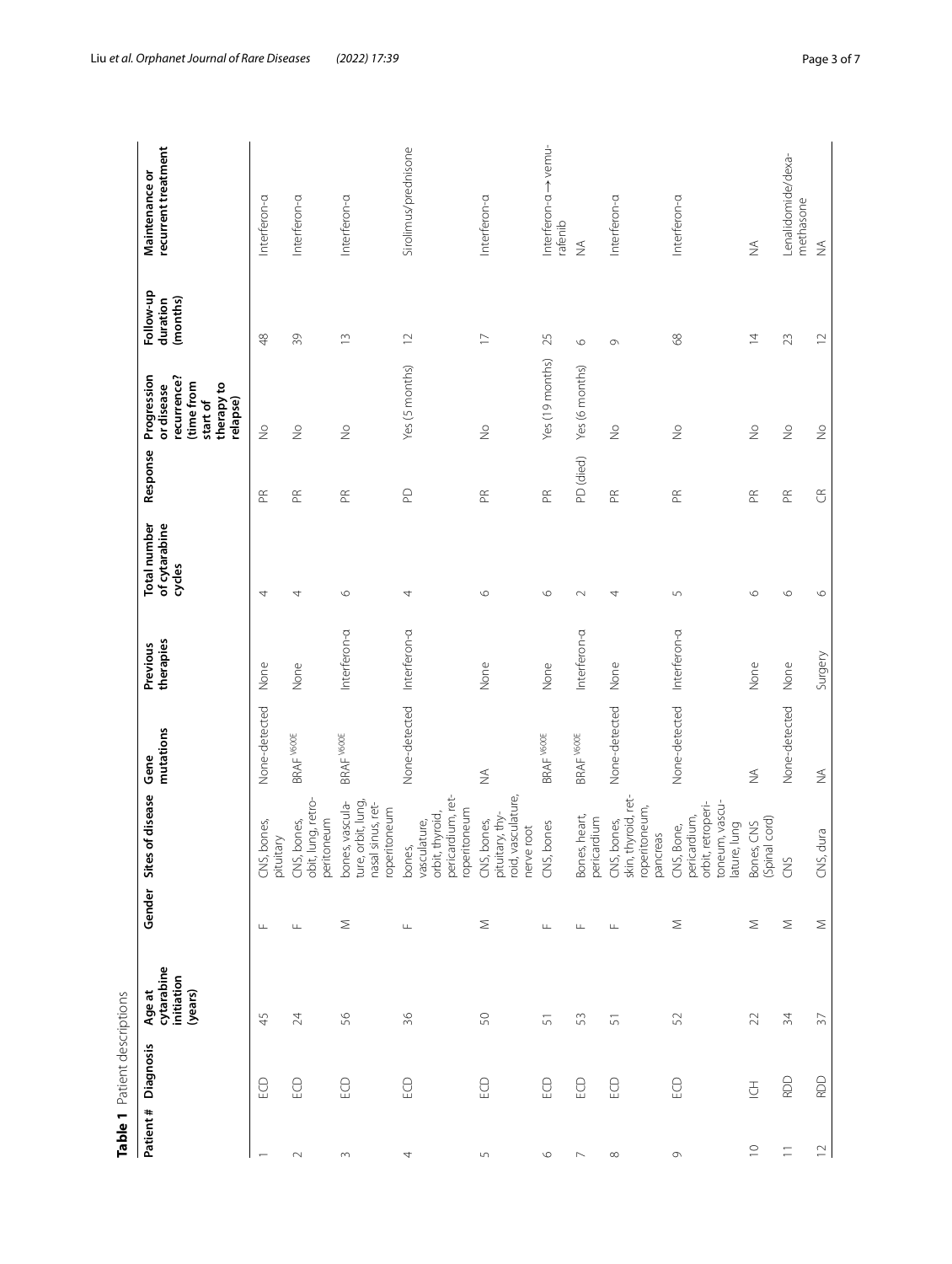|                | Table 1 Patient descriptions |                                                      |              |                                                                                         |                              |                       |                                         |                       |                                                                                              |                                   |                                       |
|----------------|------------------------------|------------------------------------------------------|--------------|-----------------------------------------------------------------------------------------|------------------------------|-----------------------|-----------------------------------------|-----------------------|----------------------------------------------------------------------------------------------|-----------------------------------|---------------------------------------|
| Patient#       | Diagnosis                    | cytarabine<br>initiation<br>(years)<br><b>Age at</b> | Gender Sites | of disease                                                                              | mutations<br>Gene            | therapies<br>Previous | Total number<br>of cytarabine<br>cycles | Response              | Progression<br>recurrence?<br>(time from<br>therapy to<br>or disease<br>relapse)<br>start of | Follow-up<br>(months)<br>duration | recurrent treatment<br>Maintenance or |
|                | EO                           | 45                                                   | $\sqcup$     | bones,<br>Viel<br>pituit<br>CNS,                                                        | None-detected                | None                  | 4                                       | $\mathbb{E}$          | $\stackrel{\circ}{\geq}$                                                                     | $\frac{8}{4}$                     | Interferon-a                          |
| $\sim$         | ECD                          | 24                                                   | $\sqcup$     | lung, retro-<br>peritoneum<br>, bones,<br>CNS,<br>obit,                                 | BRAF V600E                   | None                  | 4                                       | $\mathbb{E}$          | $\geq$                                                                                       | 39                                | Interferon-a                          |
| $\sim$         | ECD                          | 99                                                   | Σ            | orbit, lung,<br>bones, vascula-<br>Isinus, ret-<br>roperitoneum<br>nasal<br>ture,       | BRAF V600E                   | Interferon-a          | $\circ$                                 | $\mathbb{R}$          | $\frac{1}{2}$                                                                                | $\frac{1}{2}$                     | Interferon-a                          |
| 4              | ECD                          | $\frac{8}{5}$                                        | Щ            | pericardium, ret-<br>roperitoneum<br>orbit, thyroid,<br>vasculature,<br>bones,          | None-detected                | Interferon-a          | 4                                       | $\mathsf{D}$          | Yes (5 months)                                                                               | $\supseteq$                       | Sirolimus/prednisone                  |
| 5              | $\bigcirc$                   | SO                                                   | Σ            | vasculature,<br>pituitary, thy-<br>, bones,<br>nerve root<br>CNS,<br>roid,              | $\frac{1}{2}$                | None                  | $\circ$                                 | $\mathbb{R}$          | $\frac{1}{2}$                                                                                | $\overline{\phantom{0}}$          | Interferon-a                          |
| $\circ$        | ECD                          | 5                                                    | Щ            | .bones<br>CNS,                                                                          | BRAF V600E                   | None                  | $\circ$                                 | $\mathop{\mathbb{E}}$ | Yes (19 months)                                                                              | 25                                | Interferon-a -> vemu-<br>rafenib      |
| $\overline{ }$ | ECD                          | 53                                                   | ╙            | Bones, heart,<br>pericardium                                                            | BRAF V600E                   | Interferon-a          | $\sim$                                  | PD (died)             | Yes (6 months)                                                                               | $\circ$                           | $\lessapprox$                         |
| $\infty$       | ECD                          | 5                                                    | Щ            | thyroid, ret-<br>roperitoneum,<br>bones,<br>pancreas<br>CNS,<br>skin,                   | None-detected                | None                  | 4                                       | $\mathbb{E}$          | $\frac{1}{2}$                                                                                | $\circ$                           | Interferon-a                          |
| $\circ$        | S                            | 52                                                   | Σ            | toneum, vascu-<br>retroperi-<br>pericardium,<br>lature, lung<br>Bone,<br>orbit,<br>CNS, | None-detected                | Interferon-a          | 5                                       | $\mathbb{E}$          | $\frac{1}{2}$                                                                                | 68                                | Interferon-a                          |
| $\supseteq$    | $\overline{\underline{5}}$   | $\mathfrak{D}$                                       | Σ            | (Spinal cord)<br>Bones, CNS                                                             | $\lessgtr$                   | None                  | $\circ$                                 | $\mathbb{R}$          | $\frac{1}{2}$                                                                                | $\overline{4}$                    | $\not\leq$                            |
| $\equiv$       | RDD                          | 34                                                   | Σ            | CNS                                                                                     | None-detected                | None                  | $\circ$                                 | $\mathbb{E}$          | $\frac{1}{2}$                                                                                | 23                                | Lenalidomide/dexa-<br>methasone       |
| $\supseteq$    | <b>RDD</b>                   | $\overline{57}$                                      | Σ            | dura<br>CNS,                                                                            | $\stackrel{\triangle}{\geq}$ | Surgery               | $\circ$                                 | $\mathfrak{S}$        | $\frac{1}{2}$                                                                                | $\supseteq$                       | $\lessgtr$                            |

<span id="page-2-0"></span>Table 1 Patient descriptions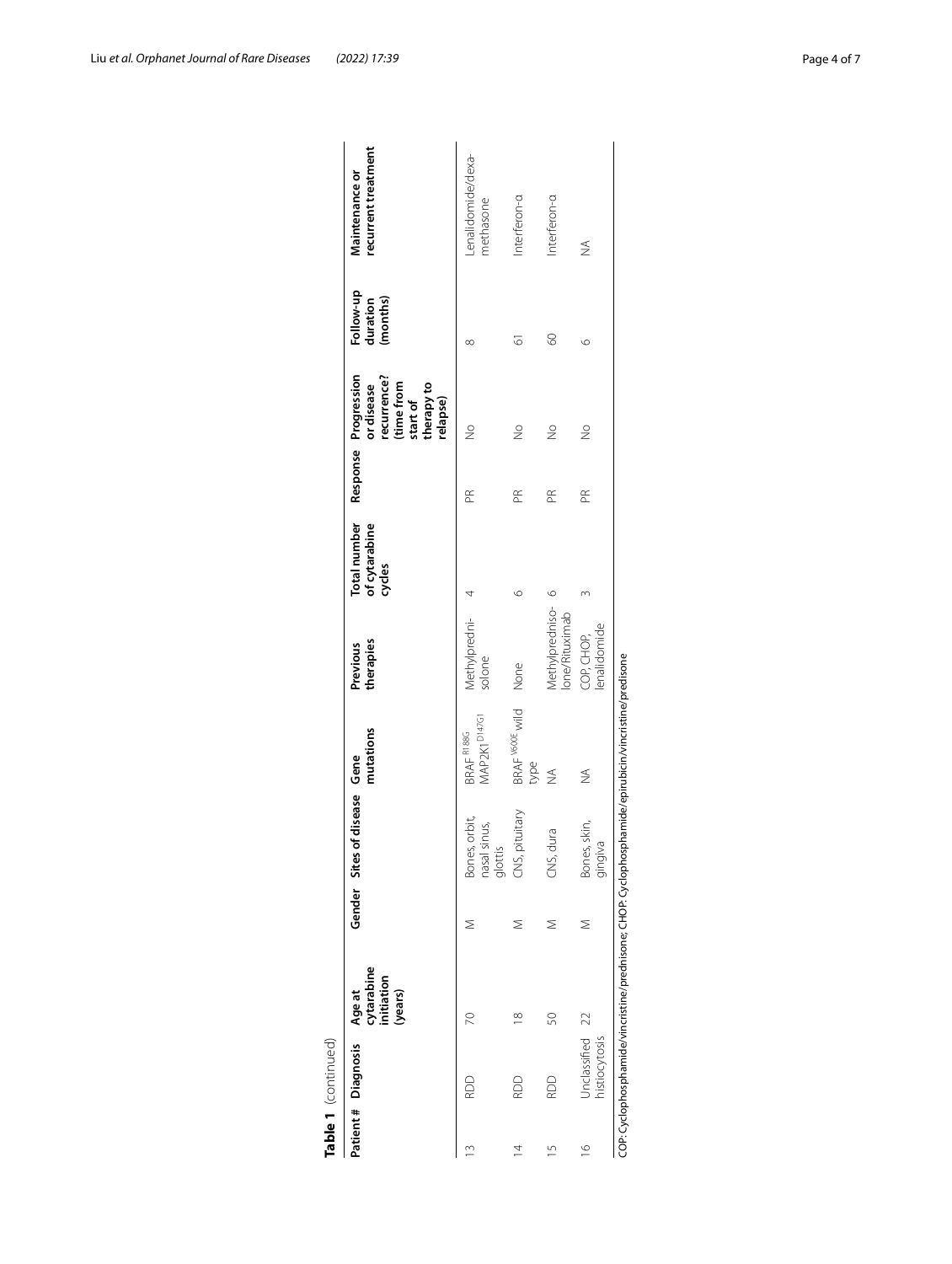|                | Patient # Diagnosis              | cytarabine<br>initiation<br>(years)<br>Age at |   | Gender Sites of disease Gene             | mutations                              | therapies<br>Previous             | Total number<br>of cytarabine<br>cycles |           | Response Progression<br>recurrence?<br>(time from<br>or disease<br>start of<br>therapy to<br>relapse) | Follow-up<br>(months)<br>duration | recurrent treatment<br>Maintenance or |
|----------------|----------------------------------|-----------------------------------------------|---|------------------------------------------|----------------------------------------|-----------------------------------|-----------------------------------------|-----------|-------------------------------------------------------------------------------------------------------|-----------------------------------|---------------------------------------|
| 3              | RDD                              | 20                                            |   | Bones, orbit,<br>nasal sinus,<br>glottis | MAP2K1 <sup>D147G1</sup><br>BRAF R188G | Methylpredni-4<br>solone          |                                         | Æ         | $\frac{1}{2}$                                                                                         | ∞                                 | Lenalidomide/dexa-<br>methasone       |
| 4              | RDD                              | $\frac{8}{1}$                                 | Σ | , pituitary<br>CNS,                      | BRAF V600E wild<br>type                | None                              | ७                                       | $\approx$ | $\frac{1}{2}$                                                                                         | 5                                 | Interferon-a                          |
| 5              | RDD                              | SO                                            | Σ | dura<br>SS.                              | $\frac{1}{2}$                          | Methylpredniso-<br>Ione/Rituximab | $\circ$                                 | Æ         | $\frac{1}{2}$                                                                                         | 8                                 | Interferon-a                          |
| $\overline{9}$ | Unclassified 22<br>histiocytosis |                                               | Σ | Bones, skin,<br>gingiva                  | $\frac{1}{2}$                          | lenalidomide<br>COP, CHOP,        |                                         | Æ         | $\frac{1}{2}$                                                                                         | O                                 | ≨                                     |

Liu *et al. Orphanet Journal of Rare Diseases (2022) 17:39* Page 4 of 7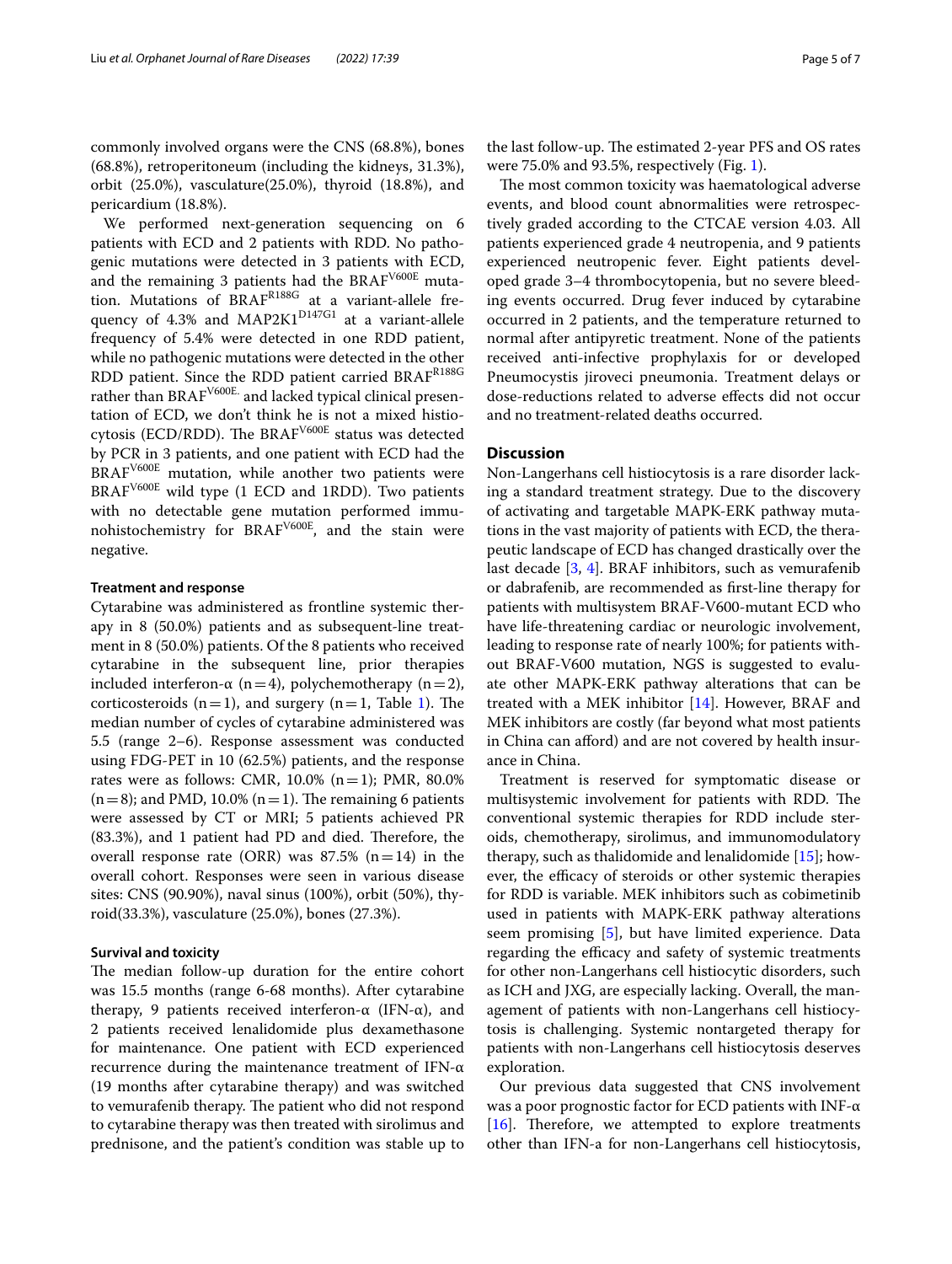commonly involved organs were the CNS (68.8%), bones (68.8%), retroperitoneum (including the kidneys, 31.3%), orbit (25.0%), vasculature(25.0%), thyroid (18.8%), and pericardium (18.8%).

We performed next-generation sequencing on 6 patients with ECD and 2 patients with RDD. No pathogenic mutations were detected in 3 patients with ECD, and the remaining 3 patients had the BRAFV600E mutation. Mutations of BRAF<sup>R188G</sup> at a variant-allele frequency of 4.3% and MAP2K1<sup>D147G1</sup> at a variant-allele frequency of 5.4% were detected in one RDD patient, while no pathogenic mutations were detected in the other RDD patient. Since the RDD patient carried BRAFR188G rather than BRAF<sup>V600E.</sup> and lacked typical clinical presentation of ECD, we don't think he is not a mixed histiocytosis (ECD/RDD). The BRAF<sup>V600E</sup> status was detected by PCR in 3 patients, and one patient with ECD had the BRAF<sup>V600E</sup> mutation, while another two patients were  $BRAF<sup>V600E</sup>$  wild type (1 ECD and 1RDD). Two patients with no detectable gene mutation performed immunohistochemistry for BRAFV600E, and the stain were negative.

#### **Treatment and response**

Cytarabine was administered as frontline systemic therapy in 8 (50.0%) patients and as subsequent-line treatment in 8 (50.0%) patients. Of the 8 patients who received cytarabine in the subsequent line, prior therapies included interferon-α (n=4), polychemotherapy (n=2), corticosteroids  $(n=1)$  $(n=1)$  $(n=1)$ , and surgery  $(n=1,$  Table 1). The median number of cycles of cytarabine administered was 5.5 (range 2–6). Response assessment was conducted using FDG-PET in 10 (62.5%) patients, and the response rates were as follows: CMR,  $10.0\%$  (n = 1); PMR,  $80.0\%$  $(n=8)$ ; and PMD, 10.0%  $(n=1)$ . The remaining 6 patients were assessed by CT or MRI; 5 patients achieved PR  $(83.3\%)$ , and 1 patient had PD and died. Therefore, the overall response rate (ORR) was  $87.5\%$  (n=14) in the overall cohort. Responses were seen in various disease sites: CNS (90.90%), naval sinus (100%), orbit (50%), thyroid(33.3%), vasculature (25.0%), bones (27.3%).

## **Survival and toxicity**

The median follow-up duration for the entire cohort was 15.5 months (range 6-68 months). After cytarabine therapy, 9 patients received interferon- $\alpha$  (IFN-α), and 2 patients received lenalidomide plus dexamethasone for maintenance. One patient with ECD experienced recurrence during the maintenance treatment of IFN-α (19 months after cytarabine therapy) and was switched to vemurafenib therapy. The patient who did not respond to cytarabine therapy was then treated with sirolimus and prednisone, and the patient's condition was stable up to

the last follow-up. The estimated 2-year PFS and OS rates were 75.0% and 93.5%, respectively (Fig. [1](#page-5-0)).

The most common toxicity was haematological adverse events, and blood count abnormalities were retrospectively graded according to the CTCAE version 4.03. All patients experienced grade 4 neutropenia, and 9 patients experienced neutropenic fever. Eight patients developed grade 3–4 thrombocytopenia, but no severe bleeding events occurred. Drug fever induced by cytarabine occurred in 2 patients, and the temperature returned to normal after antipyretic treatment. None of the patients received anti-infective prophylaxis for or developed Pneumocystis jiroveci pneumonia. Treatment delays or dose-reductions related to adverse efects did not occur and no treatment-related deaths occurred.

## **Discussion**

Non-Langerhans cell histiocytosis is a rare disorder lacking a standard treatment strategy. Due to the discovery of activating and targetable MAPK-ERK pathway mutations in the vast majority of patients with ECD, the therapeutic landscape of ECD has changed drastically over the last decade [[3,](#page-6-2) [4](#page-6-3)]. BRAF inhibitors, such as vemurafenib or dabrafenib, are recommended as frst-line therapy for patients with multisystem BRAF-V600-mutant ECD who have life-threatening cardiac or neurologic involvement, leading to response rate of nearly 100%; for patients without BRAF-V600 mutation, NGS is suggested to evaluate other MAPK-ERK pathway alterations that can be treated with a MEK inhibitor [[14](#page-6-13)]. However, BRAF and MEK inhibitors are costly (far beyond what most patients in China can afford) and are not covered by health insurance in China.

Treatment is reserved for symptomatic disease or multisystemic involvement for patients with RDD. The conventional systemic therapies for RDD include steroids, chemotherapy, sirolimus, and immunomodulatory therapy, such as thalidomide and lenalidomide [[15\]](#page-6-14); however, the efficacy of steroids or other systemic therapies for RDD is variable. MEK inhibitors such as cobimetinib used in patients with MAPK-ERK pathway alterations seem promising [\[5](#page-6-4)], but have limited experience. Data regarding the efficacy and safety of systemic treatments for other non-Langerhans cell histiocytic disorders, such as ICH and JXG, are especially lacking. Overall, the management of patients with non-Langerhans cell histiocytosis is challenging. Systemic nontargeted therapy for patients with non-Langerhans cell histiocytosis deserves exploration.

Our previous data suggested that CNS involvement was a poor prognostic factor for ECD patients with INF-α  $[16]$  $[16]$ . Therefore, we attempted to explore treatments other than IFN-a for non-Langerhans cell histiocytosis,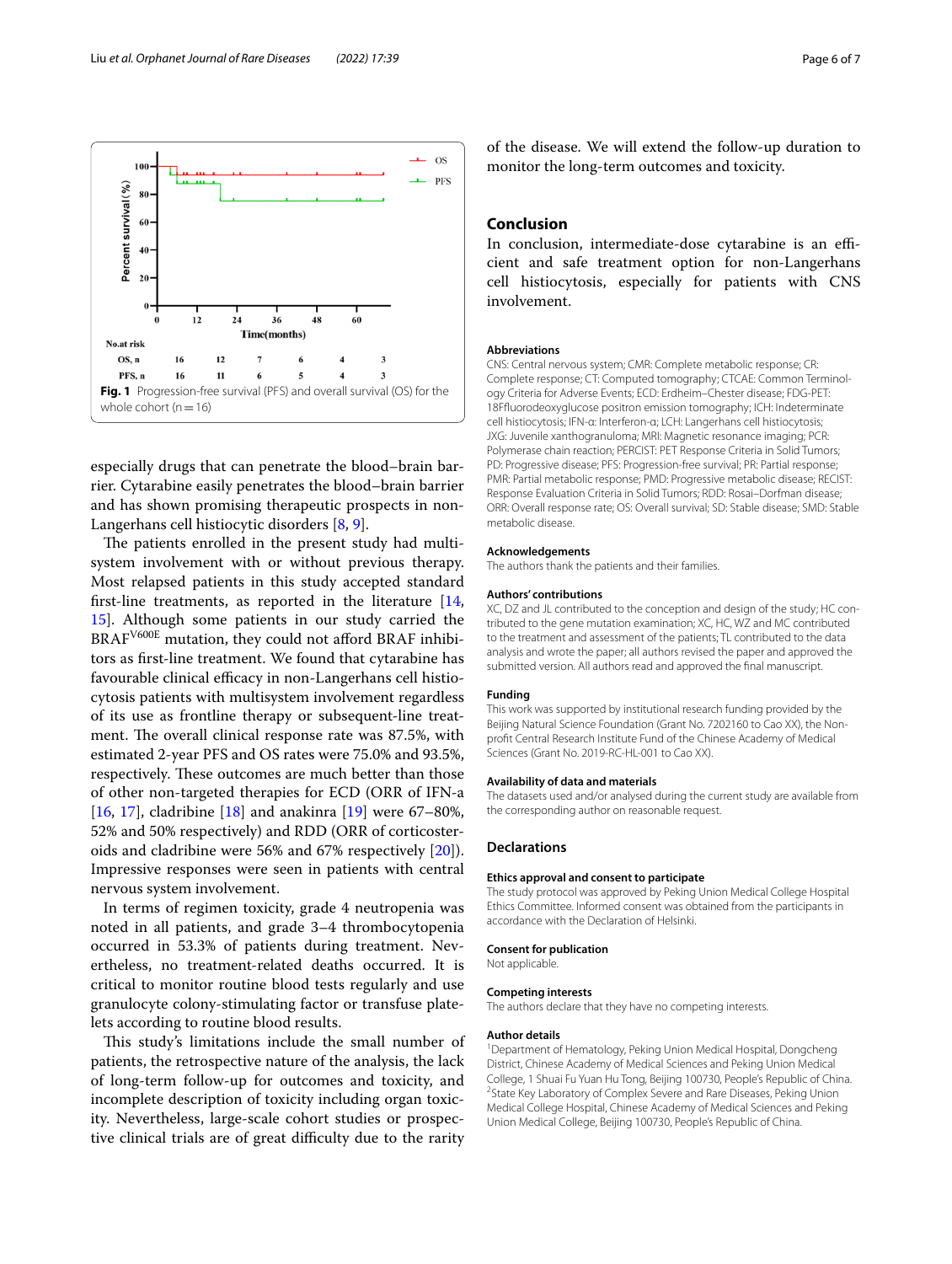<span id="page-5-0"></span>especially drugs that can penetrate the blood–brain barrier. Cytarabine easily penetrates the blood–brain barrier and has shown promising therapeutic prospects in non-Langerhans cell histiocytic disorders [\[8](#page-6-7), [9\]](#page-6-8).

The patients enrolled in the present study had multisystem involvement with or without previous therapy. Most relapsed patients in this study accepted standard frst-line treatments, as reported in the literature [\[14](#page-6-13), [15\]](#page-6-14). Although some patients in our study carried the BRAF<sup>V600E</sup> mutation, they could not afford BRAF inhibitors as frst-line treatment. We found that cytarabine has favourable clinical efficacy in non-Langerhans cell histiocytosis patients with multisystem involvement regardless of its use as frontline therapy or subsequent-line treatment. The overall clinical response rate was 87.5%, with estimated 2-year PFS and OS rates were 75.0% and 93.5%, respectively. These outcomes are much better than those of other non-targeted therapies for ECD (ORR of IFN-a [[16,](#page-6-15) [17\]](#page-6-16), cladribine [[18](#page-6-17)] and anakinra [\[19\]](#page-6-18) were  $67-80\%$ , 52% and 50% respectively) and RDD (ORR of corticosteroids and cladribine were 56% and 67% respectively [\[20\]](#page-6-19)). Impressive responses were seen in patients with central nervous system involvement.

In terms of regimen toxicity, grade 4 neutropenia was noted in all patients, and grade 3–4 thrombocytopenia occurred in 53.3% of patients during treatment. Nevertheless, no treatment-related deaths occurred. It is critical to monitor routine blood tests regularly and use granulocyte colony-stimulating factor or transfuse platelets according to routine blood results.

This study's limitations include the small number of patients, the retrospective nature of the analysis, the lack of long-term follow-up for outcomes and toxicity, and incomplete description of toxicity including organ toxicity. Nevertheless, large-scale cohort studies or prospective clinical trials are of great difficulty due to the rarity

of the disease. We will extend the follow-up duration to monitor the long-term outcomes and toxicity.

### **Conclusion**

In conclusion, intermediate-dose cytarabine is an efficient and safe treatment option for non-Langerhans cell histiocytosis, especially for patients with CNS involvement.

#### **Abbreviations**

CNS: Central nervous system; CMR: Complete metabolic response; CR: Complete response; CT: Computed tomography; CTCAE: Common Terminol‑ ogy Criteria for Adverse Events; ECD: Erdheim–Chester disease; FDG-PET: 18Ffuorodeoxyglucose positron emission tomography; ICH: Indeterminate cell histiocytosis; IFN-α: Interferon-α; LCH: Langerhans cell histiocytosis; JXG: Juvenile xanthogranuloma; MRI: Magnetic resonance imaging; PCR: Polymerase chain reaction; PERCIST: PET Response Criteria in Solid Tumors; PD: Progressive disease; PFS: Progression-free survival; PR: Partial response; PMR: Partial metabolic response; PMD: Progressive metabolic disease; RECIST: Response Evaluation Criteria in Solid Tumors; RDD: Rosai–Dorfman disease; ORR: Overall response rate; OS: Overall survival; SD: Stable disease; SMD: Stable metabolic disease.

#### **Acknowledgements**

The authors thank the patients and their families.

#### **Authors' contributions**

XC, DZ and JL contributed to the conception and design of the study; HC contributed to the gene mutation examination; XC, HC, WZ and MC contributed to the treatment and assessment of the patients; TL contributed to the data analysis and wrote the paper; all authors revised the paper and approved the submitted version. All authors read and approved the fnal manuscript.

#### **Funding**

This work was supported by institutional research funding provided by the Beijing Natural Science Foundation (Grant No. 7202160 to Cao XX), the Nonproft Central Research Institute Fund of the Chinese Academy of Medical Sciences (Grant No. 2019-RC-HL-001 to Cao XX).

#### **Availability of data and materials**

The datasets used and/or analysed during the current study are available from the corresponding author on reasonable request.

#### **Declarations**

#### **Ethics approval and consent to participate**

The study protocol was approved by Peking Union Medical College Hospital Ethics Committee. Informed consent was obtained from the participants in accordance with the Declaration of Helsinki.

#### **Consent for publication**

Not applicable.

#### **Competing interests**

The authors declare that they have no competing interests.

#### **Author details**

<sup>1</sup> Department of Hematology, Peking Union Medical Hospital, Dongcheng District, Chinese Academy of Medical Sciences and Peking Union Medical College, 1 Shuai Fu Yuan Hu Tong, Beijing 100730, People's Republic of China. 2 State Key Laboratory of Complex Severe and Rare Diseases, Peking Union Medical College Hospital, Chinese Academy of Medical Sciences and Peking Union Medical College, Beijing 100730, People's Republic of China.